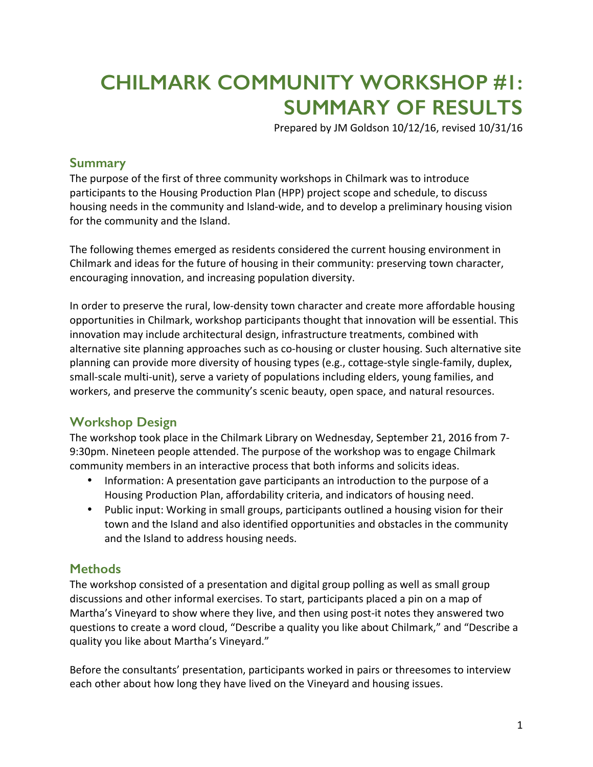# **CHILMARK COMMUNITY WORKSHOP #1: SUMMARY OF RESULTS**

Prepared by JM Goldson 10/12/16, revised 10/31/16

#### **Summary**

The purpose of the first of three community workshops in Chilmark was to introduce participants to the Housing Production Plan (HPP) project scope and schedule, to discuss housing needs in the community and Island-wide, and to develop a preliminary housing vision for the community and the Island.

The following themes emerged as residents considered the current housing environment in Chilmark and ideas for the future of housing in their community: preserving town character, encouraging innovation, and increasing population diversity.

In order to preserve the rural, low-density town character and create more affordable housing opportunities in Chilmark, workshop participants thought that innovation will be essential. This innovation may include architectural design, infrastructure treatments, combined with alternative site planning approaches such as co-housing or cluster housing. Such alternative site planning can provide more diversity of housing types (e.g., cottage-style single-family, duplex, small-scale multi-unit), serve a variety of populations including elders, young families, and workers, and preserve the community's scenic beauty, open space, and natural resources.

### **Workshop Design**

The workshop took place in the Chilmark Library on Wednesday, September 21, 2016 from 7-9:30pm. Nineteen people attended. The purpose of the workshop was to engage Chilmark community members in an interactive process that both informs and solicits ideas.

- Information: A presentation gave participants an introduction to the purpose of a Housing Production Plan, affordability criteria, and indicators of housing need.
- Public input: Working in small groups, participants outlined a housing vision for their town and the Island and also identified opportunities and obstacles in the community and the Island to address housing needs.

### **Methods**

The workshop consisted of a presentation and digital group polling as well as small group discussions and other informal exercises. To start, participants placed a pin on a map of Martha's Vineyard to show where they live, and then using post-it notes they answered two questions to create a word cloud, "Describe a quality you like about Chilmark," and "Describe a quality you like about Martha's Vineyard."

Before the consultants' presentation, participants worked in pairs or threesomes to interview each other about how long they have lived on the Vineyard and housing issues.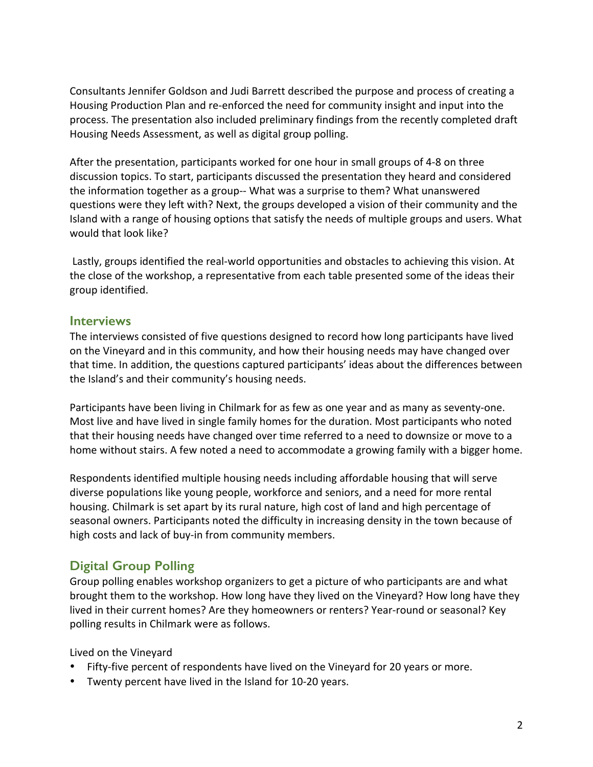Consultants Jennifer Goldson and Judi Barrett described the purpose and process of creating a Housing Production Plan and re-enforced the need for community insight and input into the process. The presentation also included preliminary findings from the recently completed draft Housing Needs Assessment, as well as digital group polling.

After the presentation, participants worked for one hour in small groups of 4-8 on three discussion topics. To start, participants discussed the presentation they heard and considered the information together as a group-- What was a surprise to them? What unanswered questions were they left with? Next, the groups developed a vision of their community and the Island with a range of housing options that satisfy the needs of multiple groups and users. What would that look like?

Lastly, groups identified the real-world opportunities and obstacles to achieving this vision. At the close of the workshop, a representative from each table presented some of the ideas their group identified.

#### **Interviews**

The interviews consisted of five questions designed to record how long participants have lived on the Vineyard and in this community, and how their housing needs may have changed over that time. In addition, the questions captured participants' ideas about the differences between the Island's and their community's housing needs.

Participants have been living in Chilmark for as few as one year and as many as seventy-one. Most live and have lived in single family homes for the duration. Most participants who noted that their housing needs have changed over time referred to a need to downsize or move to a home without stairs. A few noted a need to accommodate a growing family with a bigger home.

Respondents identified multiple housing needs including affordable housing that will serve diverse populations like young people, workforce and seniors, and a need for more rental housing. Chilmark is set apart by its rural nature, high cost of land and high percentage of seasonal owners. Participants noted the difficulty in increasing density in the town because of high costs and lack of buy-in from community members.

### **Digital Group Polling**

Group polling enables workshop organizers to get a picture of who participants are and what brought them to the workshop. How long have they lived on the Vineyard? How long have they lived in their current homes? Are they homeowners or renters? Year-round or seasonal? Key polling results in Chilmark were as follows.

Lived on the Vineyard

- Fifty-five percent of respondents have lived on the Vineyard for 20 years or more.
- Twenty percent have lived in the Island for 10-20 years.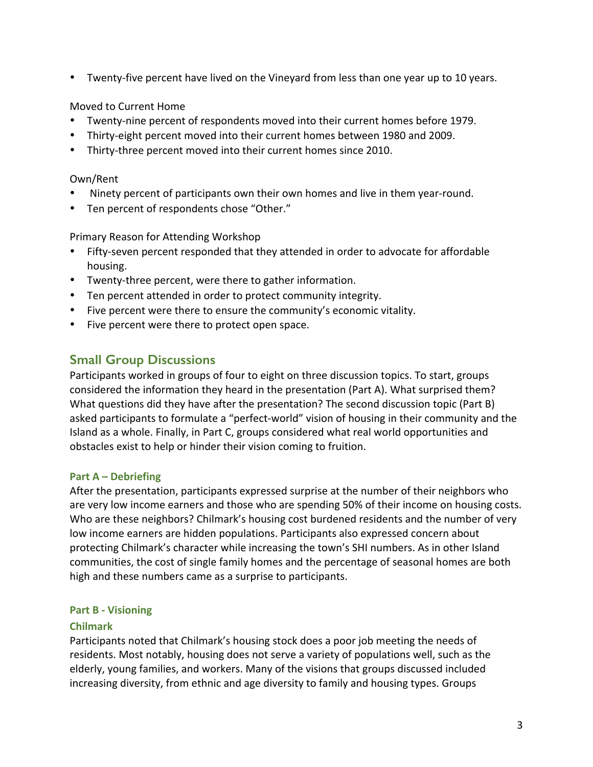• Twenty-five percent have lived on the Vineyard from less than one year up to 10 years.

#### Moved to Current Home

- Twenty-nine percent of respondents moved into their current homes before 1979.
- Thirty-eight percent moved into their current homes between 1980 and 2009.
- Thirty-three percent moved into their current homes since 2010.

#### Own/Rent

- Ninety percent of participants own their own homes and live in them year-round.
- Ten percent of respondents chose "Other."

#### Primary Reason for Attending Workshop

- Fifty-seven percent responded that they attended in order to advocate for affordable housing.
- Twenty-three percent, were there to gather information.
- Ten percent attended in order to protect community integrity.
- Five percent were there to ensure the community's economic vitality.
- Five percent were there to protect open space.

### **Small Group Discussions**

Participants worked in groups of four to eight on three discussion topics. To start, groups considered the information they heard in the presentation (Part A). What surprised them? What questions did they have after the presentation? The second discussion topic (Part B) asked participants to formulate a "perfect-world" vision of housing in their community and the Island as a whole. Finally, in Part C, groups considered what real world opportunities and obstacles exist to help or hinder their vision coming to fruition.

#### **Part A – Debriefing**

After the presentation, participants expressed surprise at the number of their neighbors who are very low income earners and those who are spending 50% of their income on housing costs. Who are these neighbors? Chilmark's housing cost burdened residents and the number of very low income earners are hidden populations. Participants also expressed concern about protecting Chilmark's character while increasing the town's SHI numbers. As in other Island communities, the cost of single family homes and the percentage of seasonal homes are both high and these numbers came as a surprise to participants.

#### **Part B - Visioning**

#### **Chilmark**

Participants noted that Chilmark's housing stock does a poor job meeting the needs of residents. Most notably, housing does not serve a variety of populations well, such as the elderly, young families, and workers. Many of the visions that groups discussed included increasing diversity, from ethnic and age diversity to family and housing types. Groups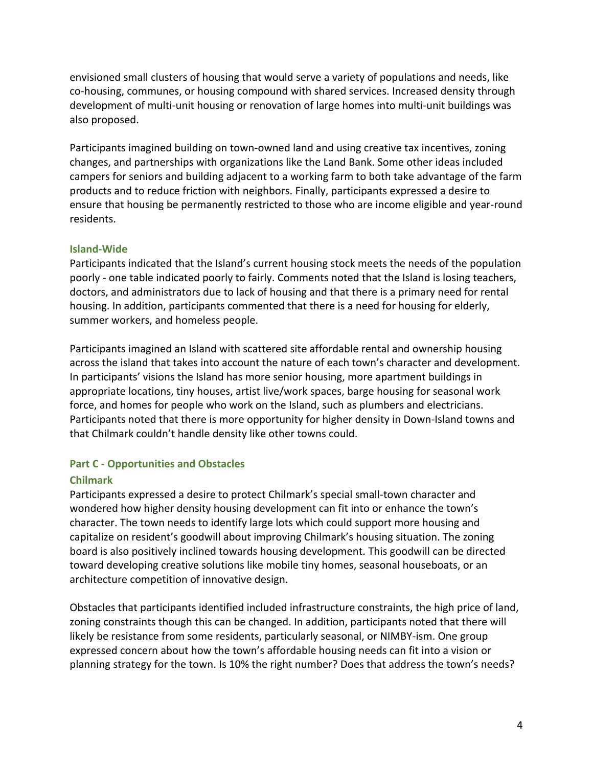envisioned small clusters of housing that would serve a variety of populations and needs, like co-housing, communes, or housing compound with shared services. Increased density through development of multi-unit housing or renovation of large homes into multi-unit buildings was also proposed.

Participants imagined building on town-owned land and using creative tax incentives, zoning changes, and partnerships with organizations like the Land Bank. Some other ideas included campers for seniors and building adjacent to a working farm to both take advantage of the farm products and to reduce friction with neighbors. Finally, participants expressed a desire to ensure that housing be permanently restricted to those who are income eligible and year-round residents.

#### **Island-Wide**

Participants indicated that the Island's current housing stock meets the needs of the population poorly - one table indicated poorly to fairly. Comments noted that the Island is losing teachers, doctors, and administrators due to lack of housing and that there is a primary need for rental housing. In addition, participants commented that there is a need for housing for elderly, summer workers, and homeless people.

Participants imagined an Island with scattered site affordable rental and ownership housing across the island that takes into account the nature of each town's character and development. In participants' visions the Island has more senior housing, more apartment buildings in appropriate locations, tiny houses, artist live/work spaces, barge housing for seasonal work force, and homes for people who work on the Island, such as plumbers and electricians. Participants noted that there is more opportunity for higher density in Down-Island towns and that Chilmark couldn't handle density like other towns could.

#### **Part C - Opportunities and Obstacles**

#### **Chilmark**

Participants expressed a desire to protect Chilmark's special small-town character and wondered how higher density housing development can fit into or enhance the town's character. The town needs to identify large lots which could support more housing and capitalize on resident's goodwill about improving Chilmark's housing situation. The zoning board is also positively inclined towards housing development. This goodwill can be directed toward developing creative solutions like mobile tiny homes, seasonal houseboats, or an architecture competition of innovative design.

Obstacles that participants identified included infrastructure constraints, the high price of land, zoning constraints though this can be changed. In addition, participants noted that there will likely be resistance from some residents, particularly seasonal, or NIMBY-ism. One group expressed concern about how the town's affordable housing needs can fit into a vision or planning strategy for the town. Is 10% the right number? Does that address the town's needs?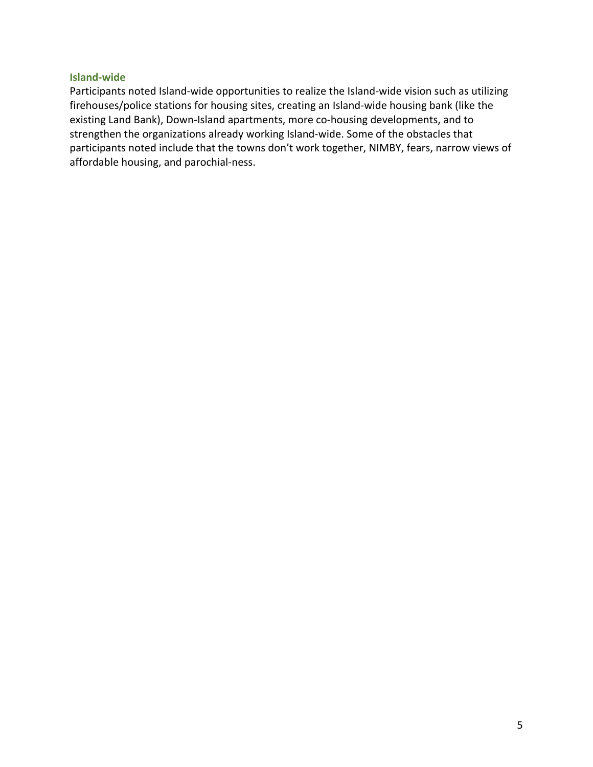#### **Island-wide**

Participants noted Island-wide opportunities to realize the Island-wide vision such as utilizing firehouses/police stations for housing sites, creating an Island-wide housing bank (like the existing Land Bank), Down-Island apartments, more co-housing developments, and to strengthen the organizations already working Island-wide. Some of the obstacles that participants noted include that the towns don't work together, NIMBY, fears, narrow views of affordable housing, and parochial-ness.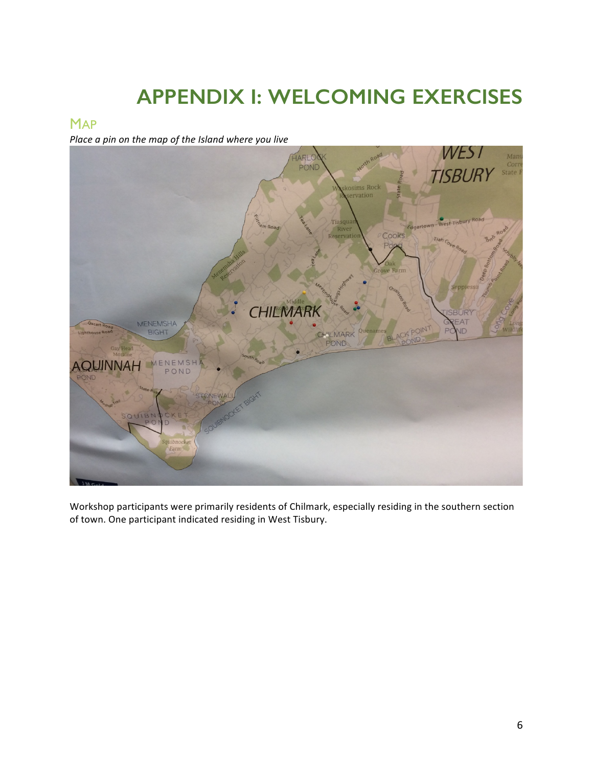# **APPENDIX I: WELCOMING EXERCISES**

#### **MAP**

*Place a pin on the map of the Island where you live* 



Workshop participants were primarily residents of Chilmark, especially residing in the southern section of town. One participant indicated residing in West Tisbury.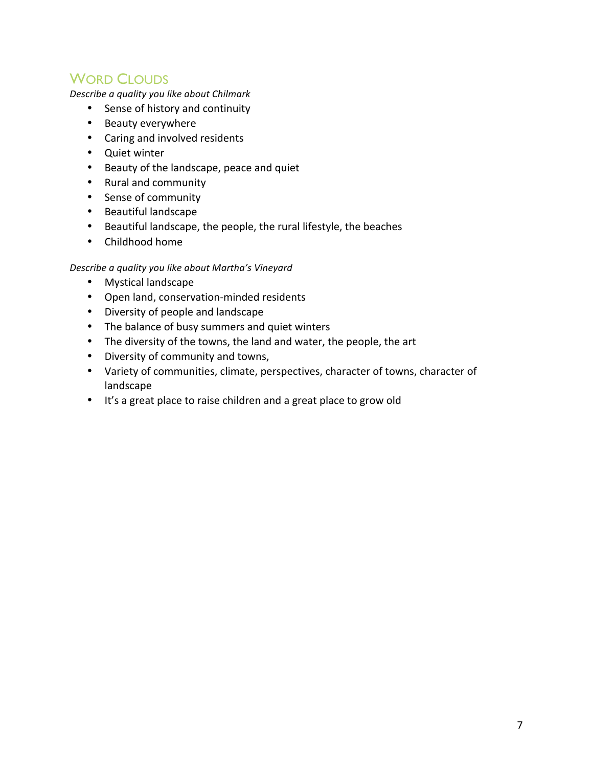## WORD CLOUDS

*Describe a quality you like about Chilmark*

- Sense of history and continuity
- Beauty everywhere
- Caring and involved residents
- Quiet winter
- Beauty of the landscape, peace and quiet
- Rural and community
- Sense of community
- Beautiful landscape
- Beautiful landscape, the people, the rural lifestyle, the beaches
- Childhood home

#### *Describe a quality you like about Martha's Vineyard*

- Mystical landscape
- Open land, conservation-minded residents
- Diversity of people and landscape
- The balance of busy summers and quiet winters
- The diversity of the towns, the land and water, the people, the art
- Diversity of community and towns,
- Variety of communities, climate, perspectives, character of towns, character of landscape
- It's a great place to raise children and a great place to grow old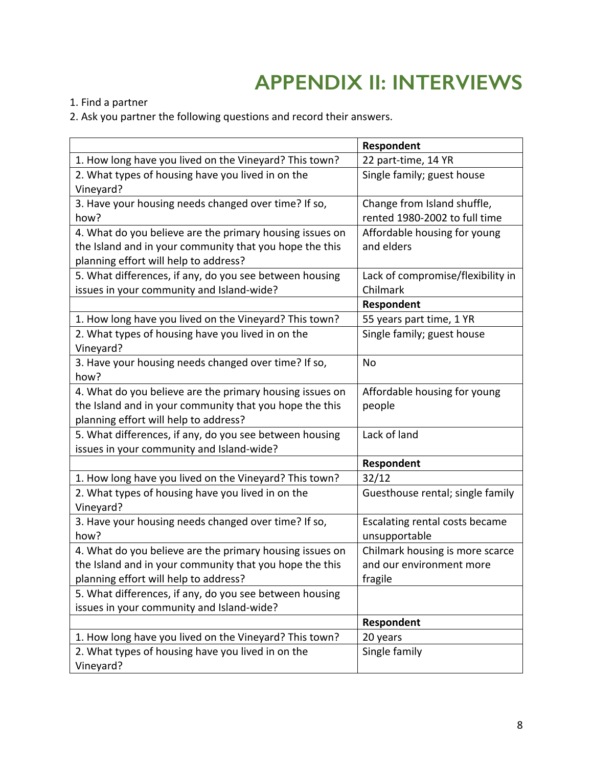# **APPENDIX II: INTERVIEWS**

1. Find a partner

2. Ask you partner the following questions and record their answers.

|                                                          | Respondent                        |
|----------------------------------------------------------|-----------------------------------|
| 1. How long have you lived on the Vineyard? This town?   | 22 part-time, 14 YR               |
| 2. What types of housing have you lived in on the        | Single family; guest house        |
| Vineyard?                                                |                                   |
| 3. Have your housing needs changed over time? If so,     | Change from Island shuffle,       |
| how?                                                     | rented 1980-2002 to full time     |
| 4. What do you believe are the primary housing issues on | Affordable housing for young      |
| the Island and in your community that you hope the this  | and elders                        |
| planning effort will help to address?                    |                                   |
| 5. What differences, if any, do you see between housing  | Lack of compromise/flexibility in |
| issues in your community and Island-wide?                | Chilmark                          |
|                                                          | Respondent                        |
| 1. How long have you lived on the Vineyard? This town?   | 55 years part time, 1 YR          |
| 2. What types of housing have you lived in on the        | Single family; guest house        |
| Vineyard?                                                |                                   |
| 3. Have your housing needs changed over time? If so,     | No                                |
| how?                                                     |                                   |
| 4. What do you believe are the primary housing issues on | Affordable housing for young      |
| the Island and in your community that you hope the this  | people                            |
| planning effort will help to address?                    |                                   |
| 5. What differences, if any, do you see between housing  | Lack of land                      |
| issues in your community and Island-wide?                |                                   |
|                                                          | Respondent                        |
| 1. How long have you lived on the Vineyard? This town?   | 32/12                             |
| 2. What types of housing have you lived in on the        | Guesthouse rental; single family  |
| Vineyard?                                                |                                   |
| 3. Have your housing needs changed over time? If so,     | Escalating rental costs became    |
| how?                                                     | unsupportable                     |
| 4. What do you believe are the primary housing issues on | Chilmark housing is more scarce   |
| the Island and in your community that you hope the this  | and our environment more          |
| planning effort will help to address?                    | fragile                           |
| 5. What differences, if any, do you see between housing  |                                   |
| issues in your community and Island-wide?                |                                   |
|                                                          | Respondent                        |
| 1. How long have you lived on the Vineyard? This town?   | 20 years                          |
| 2. What types of housing have you lived in on the        | Single family                     |
| Vineyard?                                                |                                   |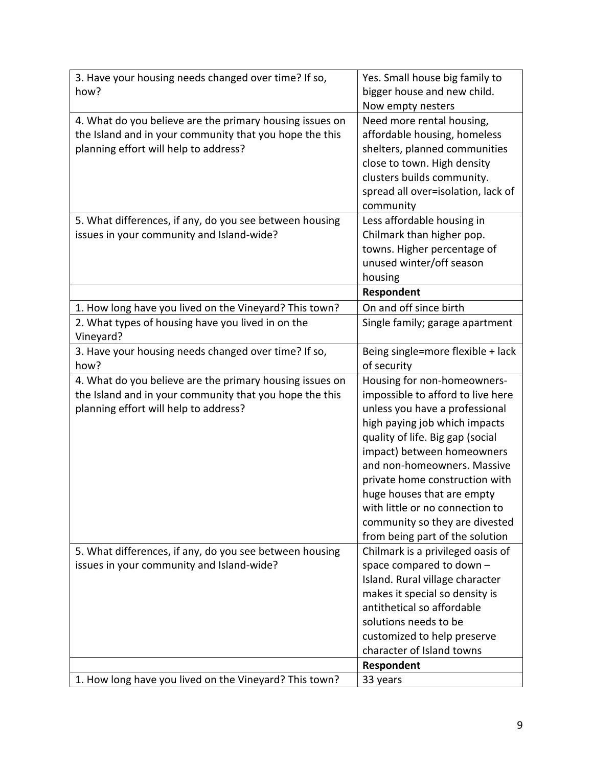| 3. Have your housing needs changed over time? If so,     | Yes. Small house big family to     |
|----------------------------------------------------------|------------------------------------|
| how?                                                     | bigger house and new child.        |
|                                                          | Now empty nesters                  |
| 4. What do you believe are the primary housing issues on | Need more rental housing,          |
| the Island and in your community that you hope the this  | affordable housing, homeless       |
| planning effort will help to address?                    | shelters, planned communities      |
|                                                          | close to town. High density        |
|                                                          | clusters builds community.         |
|                                                          | spread all over=isolation, lack of |
|                                                          | community                          |
| 5. What differences, if any, do you see between housing  | Less affordable housing in         |
| issues in your community and Island-wide?                | Chilmark than higher pop.          |
|                                                          | towns. Higher percentage of        |
|                                                          | unused winter/off season           |
|                                                          | housing                            |
|                                                          | Respondent                         |
| 1. How long have you lived on the Vineyard? This town?   | On and off since birth             |
| 2. What types of housing have you lived in on the        | Single family; garage apartment    |
| Vineyard?                                                |                                    |
| 3. Have your housing needs changed over time? If so,     | Being single=more flexible + lack  |
| how?                                                     | of security                        |
| 4. What do you believe are the primary housing issues on | Housing for non-homeowners-        |
| the Island and in your community that you hope the this  | impossible to afford to live here  |
| planning effort will help to address?                    | unless you have a professional     |
|                                                          | high paying job which impacts      |
|                                                          | quality of life. Big gap (social   |
|                                                          | impact) between homeowners         |
|                                                          | and non-homeowners. Massive        |
|                                                          | private home construction with     |
|                                                          | huge houses that are empty         |
|                                                          | with little or no connection to    |
|                                                          | community so they are divested     |
|                                                          | from being part of the solution    |
| 5. What differences, if any, do you see between housing  | Chilmark is a privileged oasis of  |
| issues in your community and Island-wide?                | space compared to down -           |
|                                                          | Island. Rural village character    |
|                                                          | makes it special so density is     |
|                                                          | antithetical so affordable         |
|                                                          | solutions needs to be              |
|                                                          |                                    |
|                                                          | customized to help preserve        |
|                                                          | character of Island towns          |
| 1. How long have you lived on the Vineyard? This town?   | Respondent                         |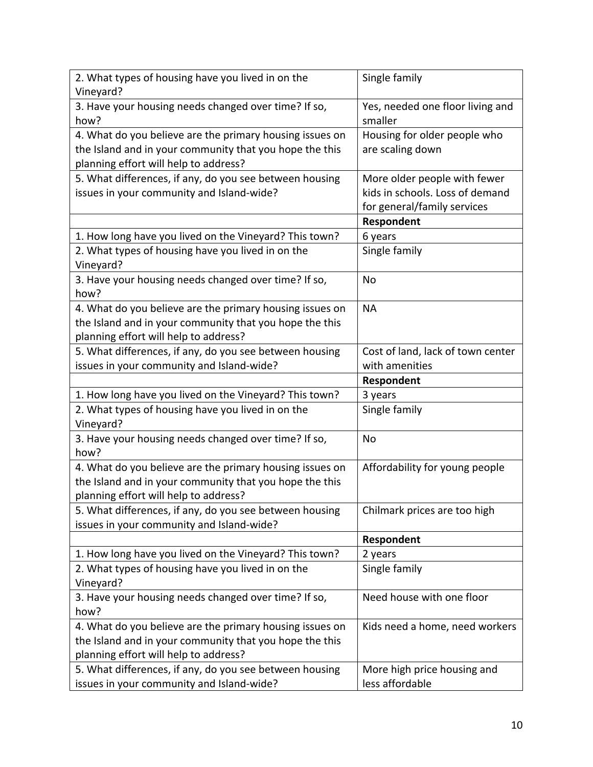| 2. What types of housing have you lived in on the<br>Vineyard?                                       | Single family                                  |
|------------------------------------------------------------------------------------------------------|------------------------------------------------|
| 3. Have your housing needs changed over time? If so,                                                 | Yes, needed one floor living and               |
| how?                                                                                                 | smaller                                        |
| 4. What do you believe are the primary housing issues on                                             | Housing for older people who                   |
| the Island and in your community that you hope the this                                              | are scaling down                               |
| planning effort will help to address?                                                                |                                                |
| 5. What differences, if any, do you see between housing                                              | More older people with fewer                   |
| issues in your community and Island-wide?                                                            | kids in schools. Loss of demand                |
|                                                                                                      | for general/family services                    |
|                                                                                                      | Respondent                                     |
| 1. How long have you lived on the Vineyard? This town?                                               | 6 years                                        |
| 2. What types of housing have you lived in on the                                                    | Single family                                  |
| Vineyard?                                                                                            |                                                |
| 3. Have your housing needs changed over time? If so,<br>how?                                         | No                                             |
| 4. What do you believe are the primary housing issues on                                             | <b>NA</b>                                      |
| the Island and in your community that you hope the this                                              |                                                |
| planning effort will help to address?                                                                |                                                |
| 5. What differences, if any, do you see between housing                                              | Cost of land, lack of town center              |
| issues in your community and Island-wide?                                                            | with amenities                                 |
|                                                                                                      | Respondent                                     |
| 1. How long have you lived on the Vineyard? This town?                                               |                                                |
|                                                                                                      | 3 years                                        |
| 2. What types of housing have you lived in on the                                                    | Single family                                  |
| Vineyard?                                                                                            |                                                |
| 3. Have your housing needs changed over time? If so,<br>how?                                         | No                                             |
| 4. What do you believe are the primary housing issues on                                             | Affordability for young people                 |
| the Island and in your community that you hope the this                                              |                                                |
| planning effort will help to address?                                                                |                                                |
| 5. What differences, if any, do you see between housing                                              | Chilmark prices are too high                   |
| issues in your community and Island-wide?                                                            |                                                |
|                                                                                                      | Respondent                                     |
| 1. How long have you lived on the Vineyard? This town?                                               | 2 years                                        |
| 2. What types of housing have you lived in on the                                                    | Single family                                  |
| Vineyard?                                                                                            |                                                |
| 3. Have your housing needs changed over time? If so,                                                 | Need house with one floor                      |
| how?                                                                                                 |                                                |
| 4. What do you believe are the primary housing issues on                                             | Kids need a home, need workers                 |
| the Island and in your community that you hope the this                                              |                                                |
| planning effort will help to address?                                                                |                                                |
| 5. What differences, if any, do you see between housing<br>issues in your community and Island-wide? | More high price housing and<br>less affordable |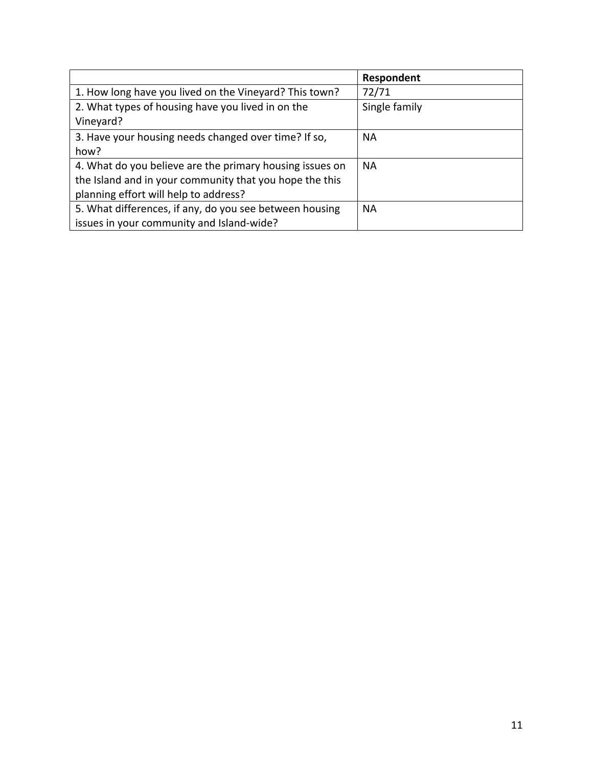|                                                                      | Respondent    |
|----------------------------------------------------------------------|---------------|
| 1. How long have you lived on the Vineyard? This town?               | 72/71         |
| 2. What types of housing have you lived in on the                    | Single family |
| Vineyard?                                                            |               |
| 3. Have your housing needs changed over time? If so,                 | <b>NA</b>     |
| how?                                                                 |               |
| 4. What do you believe are the primary housing issues on             | <b>NA</b>     |
| the Island and in your community that you hope the this              |               |
| planning effort will help to address?                                |               |
| 5. What differences, if any, do you see between housing<br><b>NA</b> |               |
| issues in your community and Island-wide?                            |               |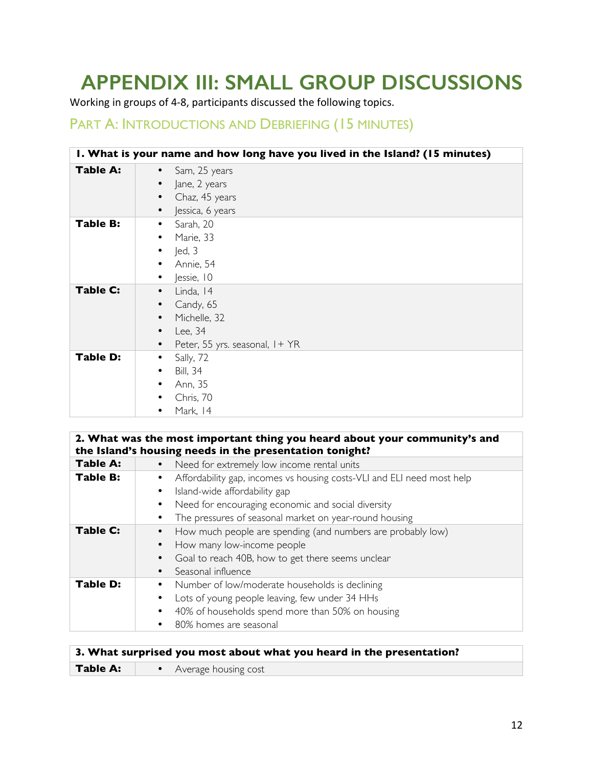# **APPENDIX III: SMALL GROUP DISCUSSIONS**

Working in groups of 4-8, participants discussed the following topics.

## PART A: INTRODUCTIONS AND DEBRIEFING (15 MINUTES)

|                 | I. What is your name and how long have you lived in the Island? (15 minutes)                      |
|-----------------|---------------------------------------------------------------------------------------------------|
| <b>Table A:</b> | Sam, 25 years<br>Jane, 2 years<br>Chaz, 45 years<br>Jessica, 6 years                              |
| Table B:        | Sarah, 20<br>Marie, 33<br>led, 3<br>Annie, 54<br>Jessie, 10                                       |
| <b>Table C:</b> | Linda, 14<br>Candy, 65<br>Michelle, 32<br>Lee, 34<br>Peter, 55 yrs. seasonal, I + YR<br>$\bullet$ |
| <b>Table D:</b> | Sally, 72<br>٠<br><b>Bill</b> , 34<br>Ann, 35<br>Chris, 70<br>Mark, 14                            |

|                 | 2. What was the most important thing you heard about your community's and<br>the Island's housing needs in the presentation tonight? |
|-----------------|--------------------------------------------------------------------------------------------------------------------------------------|
| <b>Table A:</b> | Need for extremely low income rental units                                                                                           |
| <b>Table B:</b> | Affordability gap, incomes vs housing costs-VLI and ELI need most help                                                               |
|                 | Island-wide affordability gap                                                                                                        |
|                 | Need for encouraging economic and social diversity                                                                                   |
|                 | The pressures of seasonal market on year-round housing                                                                               |
| <b>Table C:</b> | How much people are spending (and numbers are probably low)                                                                          |
|                 | How many low-income people                                                                                                           |
|                 | Goal to reach 40B, how to get there seems unclear                                                                                    |
|                 | Seasonal influence                                                                                                                   |
| <b>Table D:</b> | Number of low/moderate households is declining                                                                                       |
|                 | Lots of young people leaving, few under 34 HHs                                                                                       |
|                 | 40% of households spend more than 50% on housing                                                                                     |
|                 | 80% homes are seasonal                                                                                                               |

| 3. What surprised you most about what you heard in the presentation? |                        |
|----------------------------------------------------------------------|------------------------|
| Table A:                                                             | • Average housing cost |
|                                                                      |                        |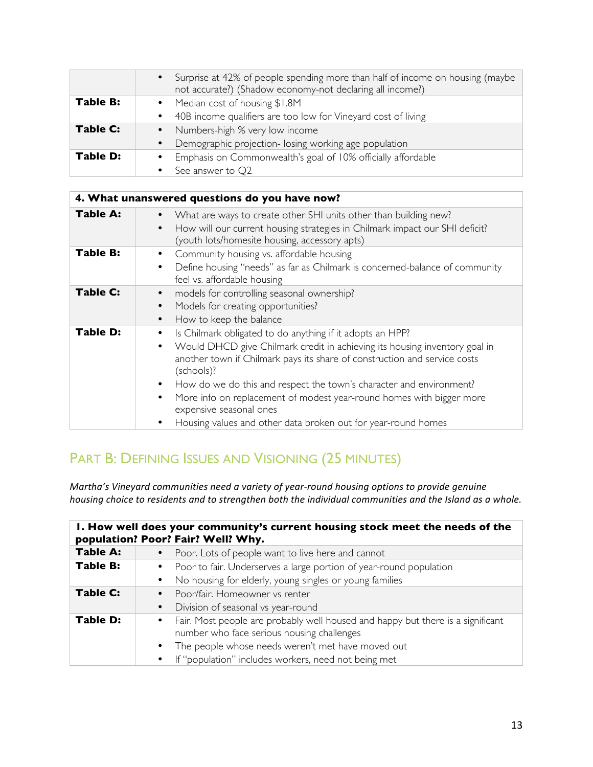|                 | • Surprise at 42% of people spending more than half of income on housing (maybe<br>not accurate?) (Shadow economy-not declaring all income?) |
|-----------------|----------------------------------------------------------------------------------------------------------------------------------------------|
| <b>Table B:</b> | • Median cost of housing \$1.8M                                                                                                              |
|                 | 40B income qualifiers are too low for Vineyard cost of living                                                                                |
| Table C:        | Numbers-high % very low income                                                                                                               |
|                 | Demographic projection- losing working age population                                                                                        |
| Table D:        | Emphasis on Commonwealth's goal of 10% officially affordable                                                                                 |
|                 | See answer to Q2                                                                                                                             |

|                 | 4. What unanswered questions do you have now?                                                                                                                                                                                                                                                                                                                                                                                                                                                                             |
|-----------------|---------------------------------------------------------------------------------------------------------------------------------------------------------------------------------------------------------------------------------------------------------------------------------------------------------------------------------------------------------------------------------------------------------------------------------------------------------------------------------------------------------------------------|
| <b>Table A:</b> | What are ways to create other SHI units other than building new?<br>How will our current housing strategies in Chilmark impact our SHI deficit?<br>(youth lots/homesite housing, accessory apts)                                                                                                                                                                                                                                                                                                                          |
| <b>Table B:</b> | Community housing vs. affordable housing<br>Define housing "needs" as far as Chilmark is concerned-balance of community<br>٠<br>feel vs. affordable housing                                                                                                                                                                                                                                                                                                                                                               |
| Table C:        | models for controlling seasonal ownership?<br>٠<br>Models for creating opportunities?<br>$\bullet$<br>How to keep the balance<br>$\bullet$                                                                                                                                                                                                                                                                                                                                                                                |
| Table D:        | Is Chilmark obligated to do anything if it adopts an HPP?<br>Would DHCD give Chilmark credit in achieving its housing inventory goal in<br>$\bullet$<br>another town if Chilmark pays its share of construction and service costs<br>(schools)?<br>How do we do this and respect the town's character and environment?<br>$\bullet$<br>More info on replacement of modest year-round homes with bigger more<br>$\bullet$<br>expensive seasonal ones<br>Housing values and other data broken out for year-round homes<br>٠ |

## PART B: DEFINING ISSUES AND VISIONING (25 MINUTES)

*Martha's Vineyard communities need a variety of year-round housing options to provide genuine housing choice to residents and to strengthen both the individual communities and the Island as a whole.* 

| I. How well does your community's current housing stock meet the needs of the<br>population? Poor? Fair? Well? Why. |                                                                                                                                 |
|---------------------------------------------------------------------------------------------------------------------|---------------------------------------------------------------------------------------------------------------------------------|
| <b>Table A:</b>                                                                                                     | Poor. Lots of people want to live here and cannot                                                                               |
| Table B:                                                                                                            | Poor to fair. Underserves a large portion of year-round population                                                              |
|                                                                                                                     | No housing for elderly, young singles or young families                                                                         |
| Table C:                                                                                                            | • Poor/fair. Homeowner vs renter                                                                                                |
|                                                                                                                     | Division of seasonal vs year-round                                                                                              |
| Table D:                                                                                                            | • Fair. Most people are probably well housed and happy but there is a significant<br>number who face serious housing challenges |
|                                                                                                                     | The people whose needs weren't met have moved out                                                                               |
|                                                                                                                     | • If "population" includes workers, need not being met                                                                          |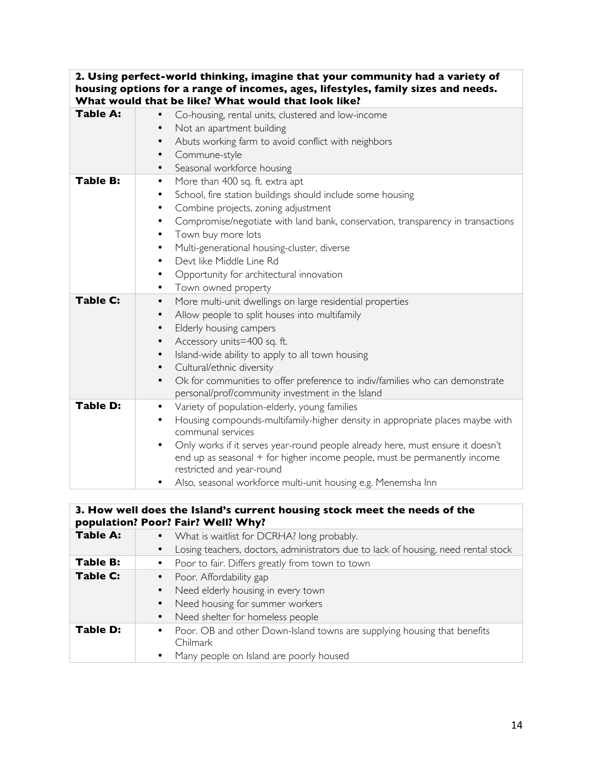| 2. Using perfect-world thinking, imagine that your community had a variety of<br>housing options for a range of incomes, ages, lifestyles, family sizes and needs.<br>What would that be like? What would that look like? |                                                                                                                                                                                                                                                                                                                                                                                                                                                      |
|---------------------------------------------------------------------------------------------------------------------------------------------------------------------------------------------------------------------------|------------------------------------------------------------------------------------------------------------------------------------------------------------------------------------------------------------------------------------------------------------------------------------------------------------------------------------------------------------------------------------------------------------------------------------------------------|
| <b>Table A:</b>                                                                                                                                                                                                           | Co-housing, rental units, clustered and low-income<br>Not an apartment building<br>$\bullet$<br>Abuts working farm to avoid conflict with neighbors<br>$\bullet$<br>Commune-style<br>٠<br>Seasonal workforce housing<br>٠                                                                                                                                                                                                                            |
| <b>Table B:</b>                                                                                                                                                                                                           | More than 400 sq. ft. extra apt<br>$\bullet$<br>School, fire station buildings should include some housing<br>٠<br>Combine projects, zoning adjustment<br>٠<br>Compromise/negotiate with land bank, conservation, transparency in transactions<br>٠<br>Town buy more lots<br>Multi-generational housing-cluster, diverse<br>٠<br>Devt like Middle Line Rd<br>٠<br>Opportunity for architectural innovation<br>٠<br>Town owned property<br>٠          |
| <b>Table C:</b>                                                                                                                                                                                                           | More multi-unit dwellings on large residential properties<br>$\bullet$<br>Allow people to split houses into multifamily<br>٠<br>Elderly housing campers<br>٠<br>Accessory units=400 sq. ft.<br>$\bullet$<br>Island-wide ability to apply to all town housing<br>٠<br>Cultural/ethnic diversity<br>$\bullet$<br>Ok for communities to offer preference to indiv/families who can demonstrate<br>٠<br>personal/prof/community investment in the Island |
| <b>Table D:</b>                                                                                                                                                                                                           | Variety of population-elderly, young families<br>$\bullet$<br>Housing compounds-multifamily-higher density in appropriate places maybe with<br>٠<br>communal services<br>Only works if it serves year-round people already here, must ensure it doesn't<br>٠<br>end up as seasonal + for higher income people, must be permanently income<br>restricted and year-round<br>Also, seasonal workforce multi-unit housing e.g. Menemsha Inn              |

#### **3. How well does the Island's current housing stock meet the needs of the population? Poor? Fair? Well? Why?**

| <b>Table A:</b> | What is waitlist for DCRHA? long probably.                                                        |
|-----------------|---------------------------------------------------------------------------------------------------|
|                 | Losing teachers, doctors, administrators due to lack of housing, need rental stock                |
| Table B:        | Poor to fair. Differs greatly from town to town                                                   |
| <b>Table C:</b> | Poor. Affordability gap                                                                           |
|                 | Need elderly housing in every town<br>$\bullet$                                                   |
|                 | Need housing for summer workers                                                                   |
|                 | Need shelter for homeless people                                                                  |
| Table D:        | Poor. OB and other Down-Island towns are supplying housing that benefits<br>$\bullet$<br>Chilmark |
|                 | Many people on Island are poorly housed                                                           |
|                 |                                                                                                   |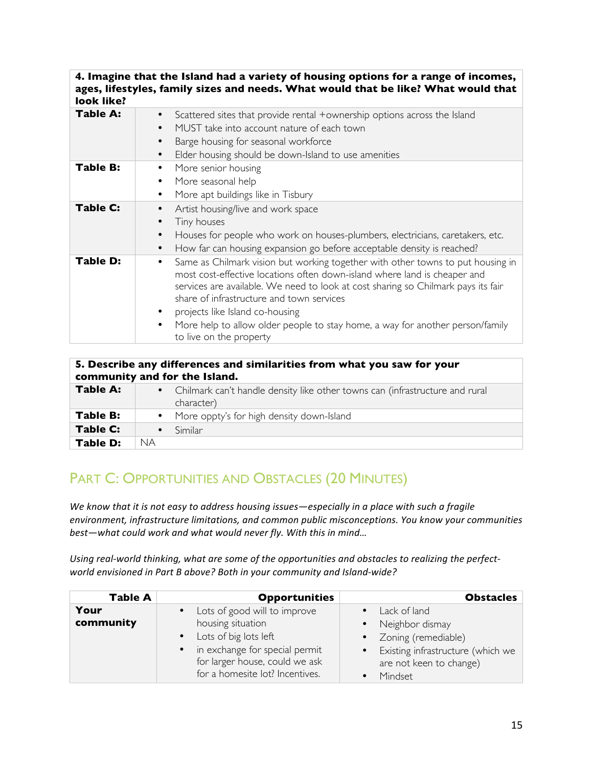#### **4. Imagine that the Island had a variety of housing options for a range of incomes, ages, lifestyles, family sizes and needs. What would that be like? What would that look like?**

| ישעת וותכי |                                                                                                                                                                                                                                                                                                                                                                                                                                                    |
|------------|----------------------------------------------------------------------------------------------------------------------------------------------------------------------------------------------------------------------------------------------------------------------------------------------------------------------------------------------------------------------------------------------------------------------------------------------------|
| Table A:   | Scattered sites that provide rental +ownership options across the Island<br>MUST take into account nature of each town<br>$\bullet$<br>Barge housing for seasonal workforce<br>$\bullet$<br>Elder housing should be down-Island to use amenities<br>$\bullet$                                                                                                                                                                                      |
| Table B:   | More senior housing<br>More seasonal help<br>More apt buildings like in Tisbury<br>$\bullet$                                                                                                                                                                                                                                                                                                                                                       |
| Table C:   | Artist housing/live and work space<br>$\bullet$<br>Tiny houses<br>$\bullet$<br>Houses for people who work on houses-plumbers, electricians, caretakers, etc.<br>$\bullet$<br>How far can housing expansion go before acceptable density is reached?<br>$\bullet$                                                                                                                                                                                   |
| Table D:   | Same as Chilmark vision but working together with other towns to put housing in<br>٠<br>most cost-effective locations often down-island where land is cheaper and<br>services are available. We need to look at cost sharing so Chilmark pays its fair<br>share of infrastructure and town services<br>projects like Island co-housing<br>More help to allow older people to stay home, a way for another person/family<br>to live on the property |

| 5. Describe any differences and similarities from what you saw for your<br>community and for the Island. |                                                                                              |  |
|----------------------------------------------------------------------------------------------------------|----------------------------------------------------------------------------------------------|--|
| Table A:                                                                                                 | • Chilmark can't handle density like other towns can (infrastructure and rural<br>character) |  |
| Table B:                                                                                                 | • More oppty's for high density down-Island                                                  |  |
| Table C:                                                                                                 | Similar                                                                                      |  |
| Table D:                                                                                                 | <b>NA</b>                                                                                    |  |

## PART C: OPPORTUNITIES AND OBSTACLES (20 MINUTES)

We know that it is not easy to address housing issues—especially in a place with such a fragile environment, infrastructure limitations, and common public misconceptions. You know your communities best-what could work and what would never fly. With this in mind...

Using real-world thinking, what are some of the opportunities and obstacles to realizing the perfect*world* envisioned in Part B above? Both in your community and Island-wide?

| <b>Table A</b>    | <b>Opportunities</b>                                                                                                                                            | <b>Obstacles</b>                                                                                                               |
|-------------------|-----------------------------------------------------------------------------------------------------------------------------------------------------------------|--------------------------------------------------------------------------------------------------------------------------------|
| Your<br>community | Lots of good will to improve<br>$\bullet$<br>housing situation<br>• Lots of big lots left<br>• in exchange for special permit<br>for larger house, could we ask | • Lack of land<br>• Neighbor dismay<br>• Zoning (remediable)<br>• Existing infrastructure (which we<br>are not keen to change) |
|                   | for a homesite lot? Incentives.                                                                                                                                 | Mindset                                                                                                                        |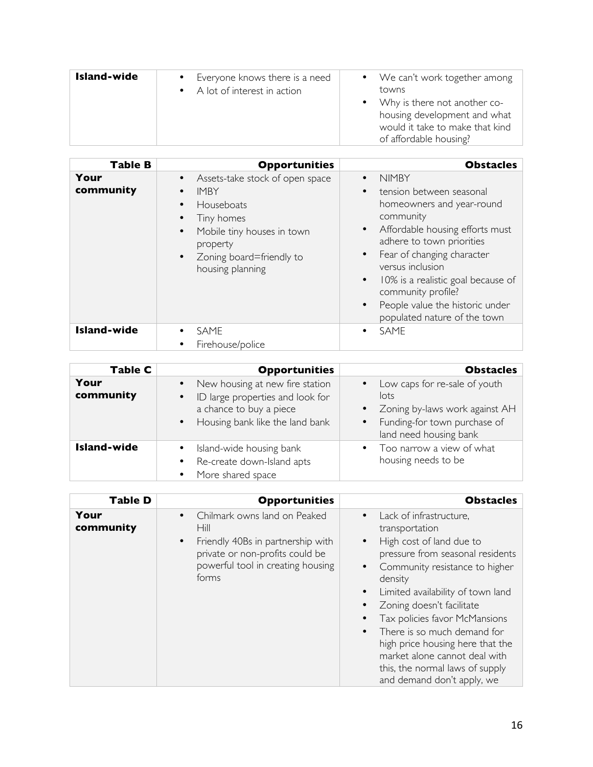| Island-wide | • Everyone knows there is a need<br>A lot of interest in action | • We can't work together among<br>towns<br>• Why is there not another co-<br>housing development and what<br>would it take to make that kind<br>of affordable housing? |
|-------------|-----------------------------------------------------------------|------------------------------------------------------------------------------------------------------------------------------------------------------------------------|
|             |                                                                 |                                                                                                                                                                        |

| <b>Table B</b>     | <b>Opportunities</b>                                                                                                                                                                                                                  | <b>Obstacles</b>                                                                                                                                                                                                                                                                                                                                                                                                  |
|--------------------|---------------------------------------------------------------------------------------------------------------------------------------------------------------------------------------------------------------------------------------|-------------------------------------------------------------------------------------------------------------------------------------------------------------------------------------------------------------------------------------------------------------------------------------------------------------------------------------------------------------------------------------------------------------------|
| Your<br>community  | Assets-take stock of open space<br>$\bullet$<br><b>IMBY</b><br>$\bullet$<br>Houseboats<br>$\bullet$<br>Tiny homes<br>Mobile tiny houses in town<br>$\bullet$<br>property<br>Zoning board=friendly to<br>$\bullet$<br>housing planning | <b>NIMBY</b><br>$\bullet$<br>tension between seasonal<br>$\bullet$<br>homeowners and year-round<br>community<br>Affordable housing efforts must<br>$\bullet$<br>adhere to town priorities<br>Fear of changing character<br>$\bullet$<br>versus inclusion<br>10% is a realistic goal because of<br>$\bullet$<br>community profile?<br>People value the historic under<br>$\bullet$<br>populated nature of the town |
| <b>Island-wide</b> | <b>SAME</b><br>Firehouse/police                                                                                                                                                                                                       | <b>SAME</b><br>٠                                                                                                                                                                                                                                                                                                                                                                                                  |

| Table C            | <b>Opportunities</b>                                                                                                                                                     | <b>Obstacles</b>                                                                                                                                 |
|--------------------|--------------------------------------------------------------------------------------------------------------------------------------------------------------------------|--------------------------------------------------------------------------------------------------------------------------------------------------|
| Your<br>community  | New housing at new fire station<br>$\bullet$<br>ID large properties and look for<br>$\bullet$<br>a chance to buy a piece<br>Housing bank like the land bank<br>$\bullet$ | Low caps for re-sale of youth<br>lots<br>• Zoning by-laws work against AH<br>Funding-for town purchase of<br>$\bullet$<br>land need housing bank |
| <b>Island-wide</b> | Island-wide housing bank<br>Re-create down-Island apts<br>$\bullet$<br>More shared space<br>$\bullet$                                                                    | • Too narrow a view of what<br>housing needs to be                                                                                               |

| <b>Table D</b>    | <b>Opportunities</b>                                                                                                                                                                 | <b>Obstacles</b>                                                                                                                                                                                                                                                                                                                                                                                                                                                                                     |
|-------------------|--------------------------------------------------------------------------------------------------------------------------------------------------------------------------------------|------------------------------------------------------------------------------------------------------------------------------------------------------------------------------------------------------------------------------------------------------------------------------------------------------------------------------------------------------------------------------------------------------------------------------------------------------------------------------------------------------|
| Your<br>community | Chilmark owns land on Peaked<br>$\bullet$<br>Hill<br>Friendly 40Bs in partnership with<br>$\bullet$<br>private or non-profits could be<br>powerful tool in creating housing<br>forms | Lack of infrastructure,<br>$\bullet$<br>transportation<br>High cost of land due to<br>$\bullet$<br>pressure from seasonal residents<br>Community resistance to higher<br>$\bullet$<br>density<br>Limited availability of town land<br>$\bullet$<br>Zoning doesn't facilitate<br>٠<br>Tax policies favor McMansions<br>There is so much demand for<br>$\bullet$<br>high price housing here that the<br>market alone cannot deal with<br>this, the normal laws of supply<br>and demand don't apply, we |